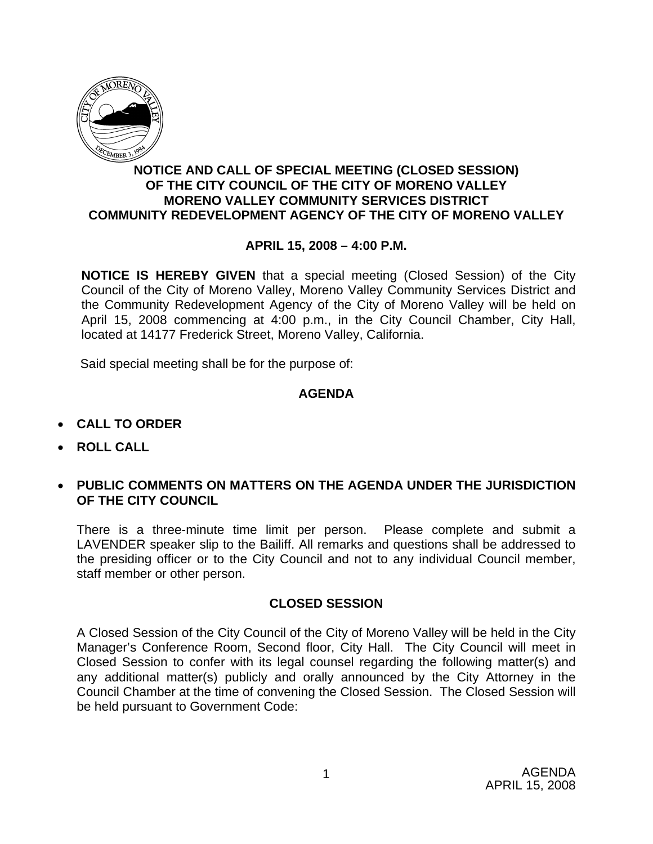

## **NOTICE AND CALL OF SPECIAL MEETING (CLOSED SESSION) OF THE CITY COUNCIL OF THE CITY OF MORENO VALLEY MORENO VALLEY COMMUNITY SERVICES DISTRICT COMMUNITY REDEVELOPMENT AGENCY OF THE CITY OF MORENO VALLEY**

## **APRIL 15, 2008 – 4:00 P.M.**

**NOTICE IS HEREBY GIVEN** that a special meeting (Closed Session) of the City Council of the City of Moreno Valley, Moreno Valley Community Services District and the Community Redevelopment Agency of the City of Moreno Valley will be held on April 15, 2008 commencing at 4:00 p.m., in the City Council Chamber, City Hall, located at 14177 Frederick Street, Moreno Valley, California.

Said special meeting shall be for the purpose of:

## **AGENDA**

- **CALL TO ORDER**
- **ROLL CALL**
- **PUBLIC COMMENTS ON MATTERS ON THE AGENDA UNDER THE JURISDICTION OF THE CITY COUNCIL**

There is a three-minute time limit per person. Please complete and submit a LAVENDER speaker slip to the Bailiff. All remarks and questions shall be addressed to the presiding officer or to the City Council and not to any individual Council member, staff member or other person.

## **CLOSED SESSION**

A Closed Session of the City Council of the City of Moreno Valley will be held in the City Manager's Conference Room, Second floor, City Hall. The City Council will meet in Closed Session to confer with its legal counsel regarding the following matter(s) and any additional matter(s) publicly and orally announced by the City Attorney in the Council Chamber at the time of convening the Closed Session. The Closed Session will be held pursuant to Government Code: